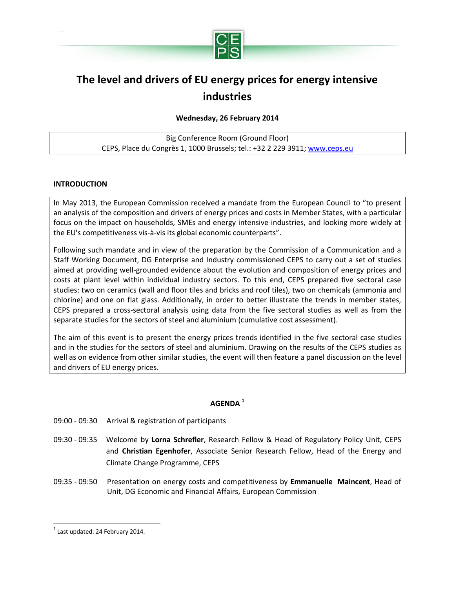

# **The level and drivers of EU energy prices for energy intensive industries**

## **Wednesday, 26 February 2014**

Big Conference Room (Ground Floor) CEPS, Place du Congrès 1, 1000 Brussels; tel.: +32 2 229 3911; [www.ceps.eu](http://www.ceps.eu/)

## **INTRODUCTION**

In May 2013, the European Commission received a mandate from the European Council to "to present an analysis of the composition and drivers of energy prices and costs in Member States, with a particular focus on the impact on households, SMEs and energy intensive industries, and looking more widely at the EU's competitiveness vis-à-vis its global economic counterparts".

Following such mandate and in view of the preparation by the Commission of a Communication and a Staff Working Document, DG Enterprise and Industry commissioned CEPS to carry out a set of studies aimed at providing well-grounded evidence about the evolution and composition of energy prices and costs at plant level within individual industry sectors. To this end, CEPS prepared five sectoral case studies: two on ceramics (wall and floor tiles and bricks and roof tiles), two on chemicals (ammonia and chlorine) and one on flat glass. Additionally, in order to better illustrate the trends in member states, CEPS prepared a cross-sectoral analysis using data from the five sectoral studies as well as from the separate studies for the sectors of steel and aluminium (cumulative cost assessment).

The aim of this event is to present the energy prices trends identified in the five sectoral case studies and in the studies for the sectors of steel and aluminium. Drawing on the results of the CEPS studies as well as on evidence from other similar studies, the event will then feature a panel discussion on the level and drivers of EU energy prices.

## **AGENDA <sup>1</sup>**

- 09:00 09:30 Arrival & registration of participants
- 09:30 09:35 Welcome by **Lorna Schrefler**, Research Fellow & Head of Regulatory Policy Unit, CEPS and **Christian Egenhofer**, Associate Senior Research Fellow, Head of the Energy and Climate Change Programme, CEPS
- 09:35 09:50 Presentation on energy costs and competitiveness by **Emmanuelle Maincent**, Head of Unit, DG Economic and Financial Affairs, European Commission

 $\overline{a}$ 

 $<sup>1</sup>$  Last updated: 24 February 2014.</sup>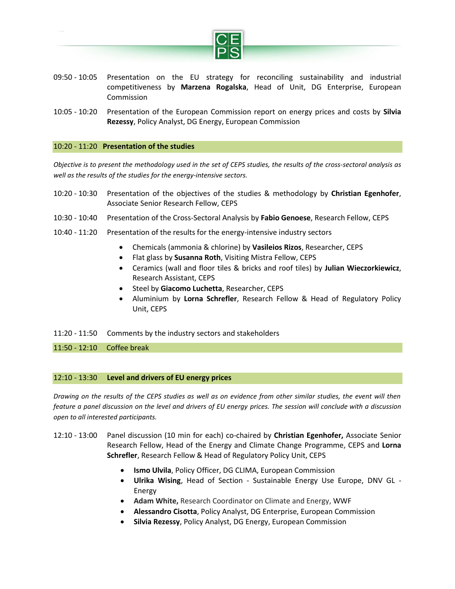

- 09:50 10:05 Presentation on the EU strategy for reconciling sustainability and industrial competitiveness by **Marzena Rogalska**, Head of Unit, DG Enterprise, European Commission
- 10:05 10:20 Presentation of the European Commission report on energy prices and costs by **Silvia Rezessy**, Policy Analyst, DG Energy, European Commission

#### 10:20 - 11:20 **Presentation of the studies**

*Objective is to present the methodology used in the set of CEPS studies, the results of the cross-sectoral analysis as well as the results of the studies for the energy-intensive sectors.* 

- 10:20 10:30 Presentation of the objectives of the studies & methodology by **Christian Egenhofer**, Associate Senior Research Fellow, CEPS
- 10:30 10:40 Presentation of the Cross-Sectoral Analysis by **Fabio Genoese**, Research Fellow, CEPS
- 10:40 11:20 Presentation of the results for the energy-intensive industry sectors
	- Chemicals (ammonia & chlorine) by **Vasileios Rizos**, Researcher, CEPS
	- Flat glass by **Susanna Roth**, Visiting Mistra Fellow, CEPS
	- Ceramics (wall and floor tiles & bricks and roof tiles) by **Julian Wieczorkiewicz**, Research Assistant, CEPS
	- **Steel by Giacomo Luchetta**, Researcher, CEPS
	- Aluminium by **Lorna Schrefler**, Research Fellow & Head of Regulatory Policy Unit, CEPS
- 11:20 11:50 Comments by the industry sectors and stakeholders

11:50 - 12:10 Coffee break

#### 12:10 - 13:30 **Level and drivers of EU energy prices**

*Drawing on the results of the CEPS studies as well as on evidence from other similar studies, the event will then feature a panel discussion on the level and drivers of EU energy prices. The session will conclude with a discussion open to all interested participants.* 

- 12:10 13:00 Panel discussion (10 min for each) co-chaired by **Christian Egenhofer,** Associate Senior Research Fellow, Head of the Energy and Climate Change Programme, CEPS and **Lorna Schrefler**, Research Fellow & Head of Regulatory Policy Unit, CEPS
	- **Ismo Ulvila**, Policy Officer, DG CLIMA, European Commission
	- **Ulrika Wising**, Head of Section Sustainable Energy Use Europe, DNV GL Energy
	- **Adam White,** Research Coordinator on Climate and Energy, WWF
	- **Alessandro Cisotta**, Policy Analyst, DG Enterprise, European Commission
	- **Silvia Rezessy**, Policy Analyst, DG Energy, European Commission